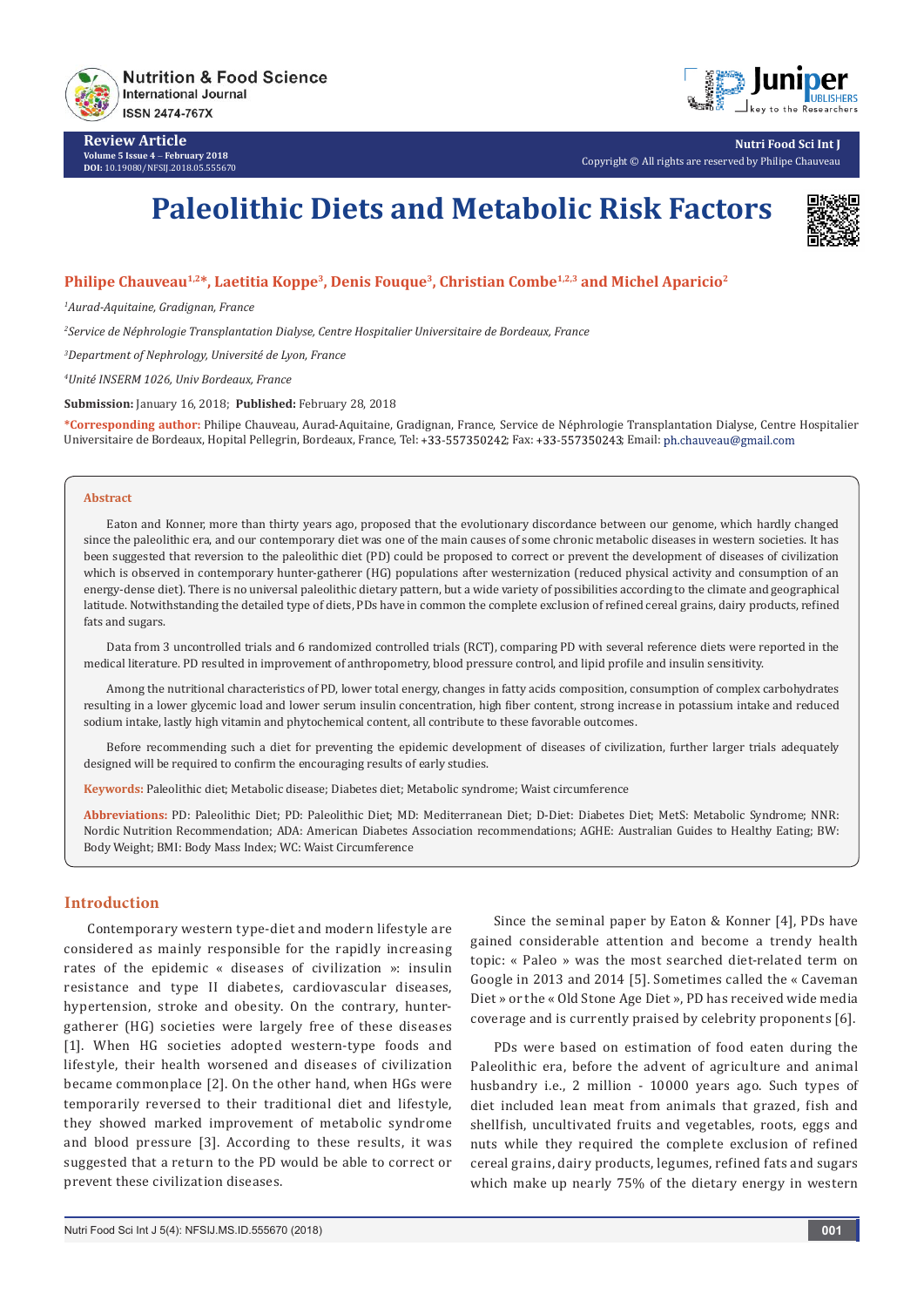

**Review Article Volume 5 Issue 4** - **February 2018 DOI:** [10.19080/NFSIJ.2018.05.555670](http://dx.doi.org/10.19080/NFSIJ.2018.05.555670)



**Nutri Food Sci Int J** Copyright © All rights are reserved by Philipe Chauveau

# **Paleolithic Diets and Metabolic Risk Factors**



## Philipe Chauveau<sup>1,2\*</sup>, Laetitia Koppe<sup>3</sup>, Denis Fouque<sup>3</sup>, Christian Combe<sup>1,2,3</sup> and Michel Aparicio<sup>2</sup>

*1 Aurad-Aquitaine, Gradignan, France*

*2 Service de Néphrologie Transplantation Dialyse, Centre Hospitalier Universitaire de Bordeaux, France*

*3 Department of Nephrology, Université de Lyon, France*

*4 Unité INSERM 1026, Univ Bordeaux, France*

**Submission:** January 16, 2018; **Published:** February 28, 2018

**\*Corresponding author:** Philipe Chauveau, Aurad-Aquitaine, Gradignan, France, Service de Néphrologie Transplantation Dialyse, Centre Hospitalier Universitaire de Bordeaux, Hopital Pellegrin, Bordeaux, France, Tel: +33-557350242; Fax: +33-557350243; Email: ph.chauveau@gmail.com

#### **Abstract**

Eaton and Konner, more than thirty years ago, proposed that the evolutionary discordance between our genome, which hardly changed since the paleolithic era, and our contemporary diet was one of the main causes of some chronic metabolic diseases in western societies. It has been suggested that reversion to the paleolithic diet (PD) could be proposed to correct or prevent the development of diseases of civilization which is observed in contemporary hunter-gatherer (HG) populations after westernization (reduced physical activity and consumption of an energy-dense diet). There is no universal paleolithic dietary pattern, but a wide variety of possibilities according to the climate and geographical latitude. Notwithstanding the detailed type of diets, PDs have in common the complete exclusion of refined cereal grains, dairy products, refined fats and sugars.

Data from 3 uncontrolled trials and 6 randomized controlled trials (RCT), comparing PD with several reference diets were reported in the medical literature. PD resulted in improvement of anthropometry, blood pressure control, and lipid profile and insulin sensitivity.

Among the nutritional characteristics of PD, lower total energy, changes in fatty acids composition, consumption of complex carbohydrates resulting in a lower glycemic load and lower serum insulin concentration, high fiber content, strong increase in potassium intake and reduced sodium intake, lastly high vitamin and phytochemical content, all contribute to these favorable outcomes.

Before recommending such a diet for preventing the epidemic development of diseases of civilization, further larger trials adequately designed will be required to confirm the encouraging results of early studies.

**Keywords:** Paleolithic diet; Metabolic disease; Diabetes diet; Metabolic syndrome; Waist circumference

**Abbreviations:** PD: Paleolithic Diet; PD: Paleolithic Diet; MD: Mediterranean Diet; D-Diet: Diabetes Diet; MetS: Metabolic Syndrome; NNR: Nordic Nutrition Recommendation; ADA: American Diabetes Association recommendations; AGHE: Australian Guides to Healthy Eating; BW: Body Weight; BMI: Body Mass Index; WC: Waist Circumference

#### **Introduction**

Contemporary western type-diet and modern lifestyle are considered as mainly responsible for the rapidly increasing rates of the epidemic « diseases of civilization »: insulin resistance and type II diabetes, cardiovascular diseases, hypertension, stroke and obesity. On the contrary, huntergatherer (HG) societies were largely free of these diseases [1]. When HG societies adopted western-type foods and lifestyle, their health worsened and diseases of civilization became commonplace [2]. On the other hand, when HGs were temporarily reversed to their traditional diet and lifestyle, they showed marked improvement of metabolic syndrome and blood pressure [3]. According to these results, it was suggested that a return to the PD would be able to correct or prevent these civilization diseases.

Since the seminal paper by Eaton & Konner [4], PDs have gained considerable attention and become a trendy health topic: « Paleo » was the most searched diet-related term on Google in 2013 and 2014 [5]. Sometimes called the « Caveman Diet » or the « Old Stone Age Diet », PD has received wide media coverage and is currently praised by celebrity proponents [6].

PDs were based on estimation of food eaten during the Paleolithic era, before the advent of agriculture and animal husbandry i.e., 2 million - 10000 years ago. Such types of diet included lean meat from animals that grazed, fish and shellfish, uncultivated fruits and vegetables, roots, eggs and nuts while they required the complete exclusion of refined cereal grains, dairy products, legumes, refined fats and sugars which make up nearly 75% of the dietary energy in western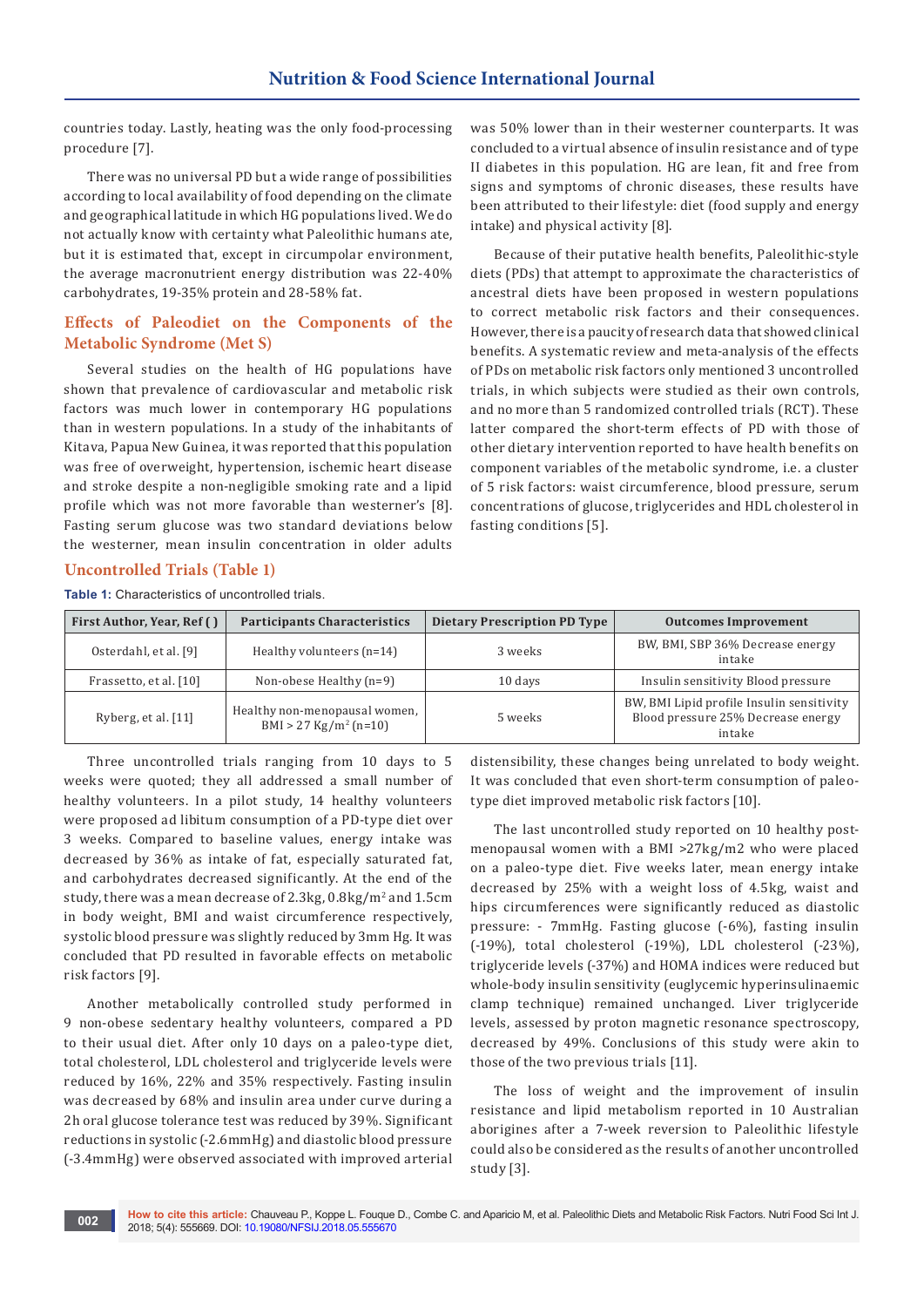countries today. Lastly, heating was the only food-processing procedure [7].

There was no universal PD but a wide range of possibilities according to local availability of food depending on the climate and geographical latitude in which HG populations lived. We do not actually know with certainty what Paleolithic humans ate, but it is estimated that, except in circumpolar environment, the average macronutrient energy distribution was 22-40% carbohydrates, 19-35% protein and 28-58% fat.

## **Effects of Paleodiet on the Components of the Metabolic Syndrome (Met S)**

Several studies on the health of HG populations have shown that prevalence of cardiovascular and metabolic risk factors was much lower in contemporary HG populations than in western populations. In a study of the inhabitants of Kitava, Papua New Guinea, it was reported that this population was free of overweight, hypertension, ischemic heart disease and stroke despite a non-negligible smoking rate and a lipid profile which was not more favorable than westerner's [8]. Fasting serum glucose was two standard deviations below the westerner, mean insulin concentration in older adults

was 50% lower than in their westerner counterparts. It was concluded to a virtual absence of insulin resistance and of type II diabetes in this population. HG are lean, fit and free from signs and symptoms of chronic diseases, these results have been attributed to their lifestyle: diet (food supply and energy intake) and physical activity [8].

Because of their putative health benefits, Paleolithic-style diets (PDs) that attempt to approximate the characteristics of ancestral diets have been proposed in western populations to correct metabolic risk factors and their consequences. However, there is a paucity of research data that showed clinical benefits. A systematic review and meta-analysis of the effects of PDs on metabolic risk factors only mentioned 3 uncontrolled trials, in which subjects were studied as their own controls, and no more than 5 randomized controlled trials (RCT). These latter compared the short-term effects of PD with those of other dietary intervention reported to have health benefits on component variables of the metabolic syndrome, i.e. a cluster of 5 risk factors: waist circumference, blood pressure, serum concentrations of glucose, triglycerides and HDL cholesterol in fasting conditions [5].

# **Uncontrolled Trials (Table 1)**

**Table 1:** Characteristics of uncontrolled trials.

| First Author, Year, Ref () | <b>Participants Characteristics</b>                                  | Dietary Prescription PD Type | <b>Outcomes Improvement</b>                                                               |
|----------------------------|----------------------------------------------------------------------|------------------------------|-------------------------------------------------------------------------------------------|
| Osterdahl, et al. [9]      | Healthy volunteers $(n=14)$                                          | 3 weeks                      | BW, BMI, SBP 36% Decrease energy<br>intake                                                |
| Frassetto, et al. [10]     | Non-obese Healthy $(n=9)$                                            | 10 days                      | Insulin sensitivity Blood pressure                                                        |
| Ryberg, et al. [11]        | Healthy non-menopausal women,<br>$BMI > 27$ Kg/m <sup>2</sup> (n=10) | 5 weeks                      | BW, BMI Lipid profile Insulin sensitivity<br>Blood pressure 25% Decrease energy<br>intake |

Three uncontrolled trials ranging from 10 days to 5 weeks were quoted; they all addressed a small number of healthy volunteers. In a pilot study, 14 healthy volunteers were proposed ad libitum consumption of a PD-type diet over 3 weeks. Compared to baseline values, energy intake was decreased by 36% as intake of fat, especially saturated fat, and carbohydrates decreased significantly. At the end of the study, there was a mean decrease of 2.3kg, 0.8kg/m² and 1.5cm in body weight, BMI and waist circumference respectively, systolic blood pressure was slightly reduced by 3mm Hg. It was concluded that PD resulted in favorable effects on metabolic risk factors [9].

Another metabolically controlled study performed in 9 non-obese sedentary healthy volunteers, compared a PD to their usual diet. After only 10 days on a paleo-type diet, total cholesterol, LDL cholesterol and triglyceride levels were reduced by 16%, 22% and 35% respectively. Fasting insulin was decreased by 68% and insulin area under curve during a 2h oral glucose tolerance test was reduced by 39%. Significant reductions in systolic (-2.6mmHg) and diastolic blood pressure (-3.4mmHg) were observed associated with improved arterial distensibility, these changes being unrelated to body weight. It was concluded that even short-term consumption of paleotype diet improved metabolic risk factors [10].

The last uncontrolled study reported on 10 healthy postmenopausal women with a BMI >27kg/m2 who were placed on a paleo-type diet. Five weeks later, mean energy intake decreased by 25% with a weight loss of 4.5kg, waist and hips circumferences were significantly reduced as diastolic pressure: - 7mmHg. Fasting glucose (-6%), fasting insulin (-19%), total cholesterol (-19%), LDL cholesterol (-23%), triglyceride levels (-37%) and HOMA indices were reduced but whole-body insulin sensitivity (euglycemic hyperinsulinaemic clamp technique) remained unchanged. Liver triglyceride levels, assessed by proton magnetic resonance spectroscopy, decreased by 49%. Conclusions of this study were akin to those of the two previous trials [11].

The loss of weight and the improvement of insulin resistance and lipid metabolism reported in 10 Australian aborigines after a 7-week reversion to Paleolithic lifestyle could also be considered as the results of another uncontrolled study [3].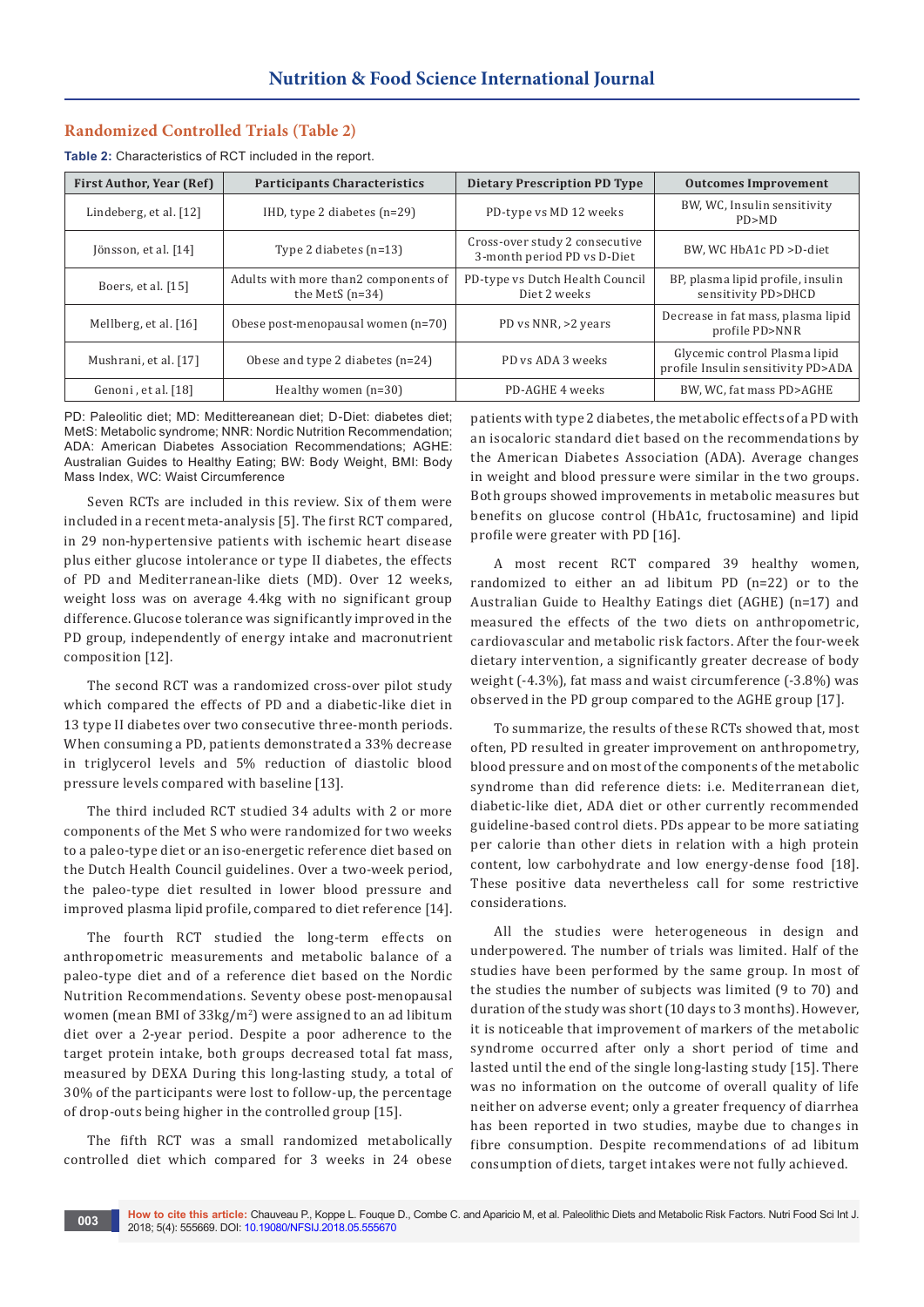### **Randomized Controlled Trials (Table 2)**

**Table 2:** Characteristics of RCT included in the report.

| <b>First Author, Year (Ref)</b> | <b>Participants Characteristics</b>                       | <b>Dietary Prescription PD Type</b>                           | <b>Outcomes Improvement</b>                                         |
|---------------------------------|-----------------------------------------------------------|---------------------------------------------------------------|---------------------------------------------------------------------|
| Lindeberg, et al. [12]          | IHD, type 2 diabetes $(n=29)$                             | PD-type vs MD 12 weeks                                        | BW, WC, Insulin sensitivity<br>PD>MD                                |
| Jönsson, et al. [14]            | Type 2 diabetes $(n=13)$                                  | Cross-over study 2 consecutive<br>3-month period PD vs D-Diet | BW, WC HbA1c PD >D-diet                                             |
| Boers, et al. $[15]$            | Adults with more than2 components of<br>the MetS $(n=34)$ | PD-type vs Dutch Health Council<br>Diet 2 weeks               | BP, plasma lipid profile, insulin<br>sensitivity PD>DHCD            |
| Mellberg, et al. [16]           | Obese post-menopausal women (n=70)                        | PD vs NNR, >2 years                                           | Decrease in fat mass, plasma lipid<br>profile PD>NNR                |
| Mushrani, et al. [17]           | Obese and type 2 diabetes $(n=24)$                        | PD vs ADA 3 weeks                                             | Glycemic control Plasma lipid<br>profile Insulin sensitivity PD>ADA |
| Genoni, et al. [18]             | Healthy women $(n=30)$                                    | PD-AGHE 4 weeks                                               | BW, WC, fat mass PD>AGHE                                            |

PD: Paleolitic diet; MD: Medittereanean diet; D-Diet: diabetes diet; MetS: Metabolic syndrome; NNR: Nordic Nutrition Recommendation; ADA: American Diabetes Association Recommendations; AGHE: Australian Guides to Healthy Eating; BW: Body Weight, BMI: Body Mass Index, WC: Waist Circumference

Seven RCTs are included in this review. Six of them were included in a recent meta-analysis [5]. The first RCT compared, in 29 non-hypertensive patients with ischemic heart disease plus either glucose intolerance or type II diabetes, the effects of PD and Mediterranean-like diets (MD). Over 12 weeks, weight loss was on average 4.4kg with no significant group difference. Glucose tolerance was significantly improved in the PD group, independently of energy intake and macronutrient composition [12].

The second RCT was a randomized cross-over pilot study which compared the effects of PD and a diabetic-like diet in 13 type II diabetes over two consecutive three-month periods. When consuming a PD, patients demonstrated a 33% decrease in triglycerol levels and 5% reduction of diastolic blood pressure levels compared with baseline [13].

The third included RCT studied 34 adults with 2 or more components of the Met S who were randomized for two weeks to a paleo-type diet or an iso-energetic reference diet based on the Dutch Health Council guidelines. Over a two-week period, the paleo-type diet resulted in lower blood pressure and improved plasma lipid profile, compared to diet reference [14].

The fourth RCT studied the long-term effects on anthropometric measurements and metabolic balance of a paleo-type diet and of a reference diet based on the Nordic Nutrition Recommendations. Seventy obese post-menopausal women (mean BMI of  $33\text{kg/m}^2$ ) were assigned to an ad libitum diet over a 2-year period. Despite a poor adherence to the target protein intake, both groups decreased total fat mass, measured by DEXA During this long-lasting study, a total of 30% of the participants were lost to follow-up, the percentage of drop-outs being higher in the controlled group [15].

The fifth RCT was a small randomized metabolically controlled diet which compared for 3 weeks in 24 obese patients with type 2 diabetes, the metabolic effects of a PD with an isocaloric standard diet based on the recommendations by the American Diabetes Association (ADA). Average changes in weight and blood pressure were similar in the two groups. Both groups showed improvements in metabolic measures but benefits on glucose control (HbA1c, fructosamine) and lipid profile were greater with PD [16].

A most recent RCT compared 39 healthy women, randomized to either an ad libitum PD (n=22) or to the Australian Guide to Healthy Eatings diet (AGHE) (n=17) and measured the effects of the two diets on anthropometric, cardiovascular and metabolic risk factors. After the four-week dietary intervention, a significantly greater decrease of body weight (-4.3%), fat mass and waist circumference (-3.8%) was observed in the PD group compared to the AGHE group [17].

To summarize, the results of these RCTs showed that, most often, PD resulted in greater improvement on anthropometry, blood pressure and on most of the components of the metabolic syndrome than did reference diets: i.e. Mediterranean diet, diabetic-like diet, ADA diet or other currently recommended guideline-based control diets. PDs appear to be more satiating per calorie than other diets in relation with a high protein content, low carbohydrate and low energy-dense food [18]. These positive data nevertheless call for some restrictive considerations.

All the studies were heterogeneous in design and underpowered. The number of trials was limited. Half of the studies have been performed by the same group. In most of the studies the number of subjects was limited (9 to 70) and duration of the study was short (10 days to 3 months). However, it is noticeable that improvement of markers of the metabolic syndrome occurred after only a short period of time and lasted until the end of the single long-lasting study [15]. There was no information on the outcome of overall quality of life neither on adverse event; only a greater frequency of diarrhea has been reported in two studies, maybe due to changes in fibre consumption. Despite recommendations of ad libitum consumption of diets, target intakes were not fully achieved.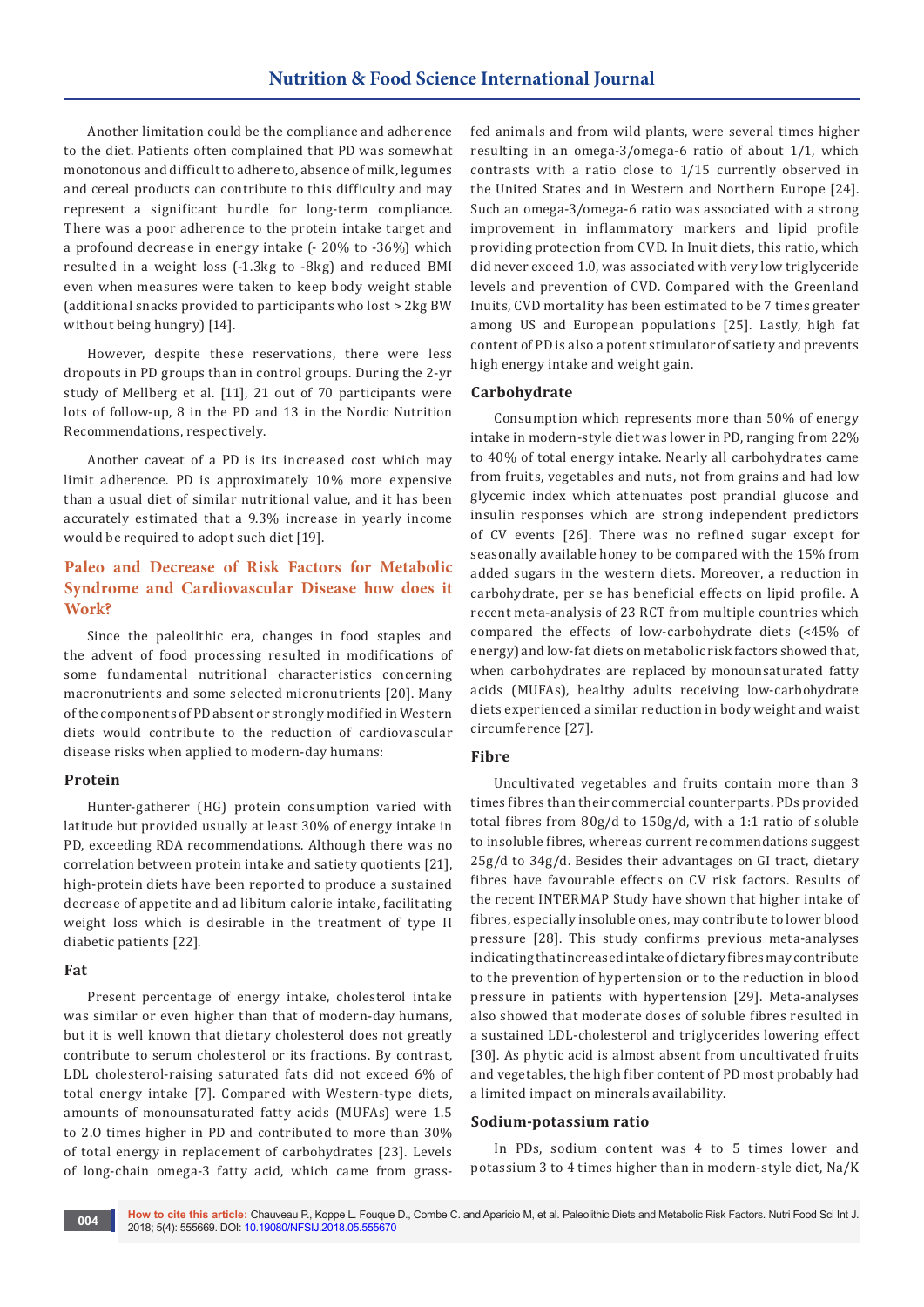Another limitation could be the compliance and adherence to the diet. Patients often complained that PD was somewhat monotonous and difficult to adhere to, absence of milk, legumes and cereal products can contribute to this difficulty and may represent a significant hurdle for long-term compliance. There was a poor adherence to the protein intake target and a profound decrease in energy intake (- 20% to -36%) which resulted in a weight loss (-1.3kg to -8kg) and reduced BMI even when measures were taken to keep body weight stable (additional snacks provided to participants who lost > 2kg BW without being hungry) [14].

However, despite these reservations, there were less dropouts in PD groups than in control groups. During the 2-yr study of Mellberg et al. [11], 21 out of 70 participants were lots of follow-up, 8 in the PD and 13 in the Nordic Nutrition Recommendations, respectively.

Another caveat of a PD is its increased cost which may limit adherence. PD is approximately 10% more expensive than a usual diet of similar nutritional value, and it has been accurately estimated that a 9.3% increase in yearly income would be required to adopt such diet [19].

## **Paleo and Decrease of Risk Factors for Metabolic Syndrome and Cardiovascular Disease how does it Work?**

Since the paleolithic era, changes in food staples and the advent of food processing resulted in modifications of some fundamental nutritional characteristics concerning macronutrients and some selected micronutrients [20]. Many of the components of PD absent or strongly modified in Western diets would contribute to the reduction of cardiovascular disease risks when applied to modern-day humans:

#### **Protein**

Hunter-gatherer (HG) protein consumption varied with latitude but provided usually at least 30% of energy intake in PD, exceeding RDA recommendations. Although there was no correlation between protein intake and satiety quotients [21], high-protein diets have been reported to produce a sustained decrease of appetite and ad libitum calorie intake, facilitating weight loss which is desirable in the treatment of type II diabetic patients [22].

#### **Fat**

Present percentage of energy intake, cholesterol intake was similar or even higher than that of modern-day humans, but it is well known that dietary cholesterol does not greatly contribute to serum cholesterol or its fractions. By contrast, LDL cholesterol-raising saturated fats did not exceed 6% of total energy intake [7]. Compared with Western-type diets, amounts of monounsaturated fatty acids (MUFAs) were 1.5 to 2.O times higher in PD and contributed to more than 30% of total energy in replacement of carbohydrates [23]. Levels of long-chain omega-3 fatty acid, which came from grassfed animals and from wild plants, were several times higher resulting in an omega-3/omega-6 ratio of about 1/1, which contrasts with a ratio close to 1/15 currently observed in the United States and in Western and Northern Europe [24]. Such an omega-3/omega-6 ratio was associated with a strong improvement in inflammatory markers and lipid profile providing protection from CVD. In Inuit diets, this ratio, which did never exceed 1.0, was associated with very low triglyceride levels and prevention of CVD. Compared with the Greenland Inuits, CVD mortality has been estimated to be 7 times greater among US and European populations [25]. Lastly, high fat content of PD is also a potent stimulator of satiety and prevents high energy intake and weight gain.

#### **Carbohydrate**

Consumption which represents more than 50% of energy intake in modern-style diet was lower in PD, ranging from 22% to 40% of total energy intake. Nearly all carbohydrates came from fruits, vegetables and nuts, not from grains and had low glycemic index which attenuates post prandial glucose and insulin responses which are strong independent predictors of CV events [26]. There was no refined sugar except for seasonally available honey to be compared with the 15% from added sugars in the western diets. Moreover, a reduction in carbohydrate, per se has beneficial effects on lipid profile. A recent meta-analysis of 23 RCT from multiple countries which compared the effects of low-carbohydrate diets (<45% of energy) and low-fat diets on metabolic risk factors showed that, when carbohydrates are replaced by monounsaturated fatty acids (MUFAs), healthy adults receiving low-carbohydrate diets experienced a similar reduction in body weight and waist circumference [27].

#### **Fibre**

Uncultivated vegetables and fruits contain more than 3 times fibres than their commercial counterparts. PDs provided total fibres from 80g/d to 150g/d, with a 1:1 ratio of soluble to insoluble fibres, whereas current recommendations suggest 25g/d to 34g/d. Besides their advantages on GI tract, dietary fibres have favourable effects on CV risk factors. Results of the recent INTERMAP Study have shown that higher intake of fibres, especially insoluble ones, may contribute to lower blood pressure [28]. This study confirms previous meta-analyses indicating that increased intake of dietary fibres may contribute to the prevention of hypertension or to the reduction in blood pressure in patients with hypertension [29]. Meta-analyses also showed that moderate doses of soluble fibres resulted in a sustained LDL-cholesterol and triglycerides lowering effect [30]. As phytic acid is almost absent from uncultivated fruits and vegetables, the high fiber content of PD most probably had a limited impact on minerals availability.

#### **Sodium-potassium ratio**

In PDs, sodium content was 4 to 5 times lower and potassium 3 to 4 times higher than in modern-style diet, Na/K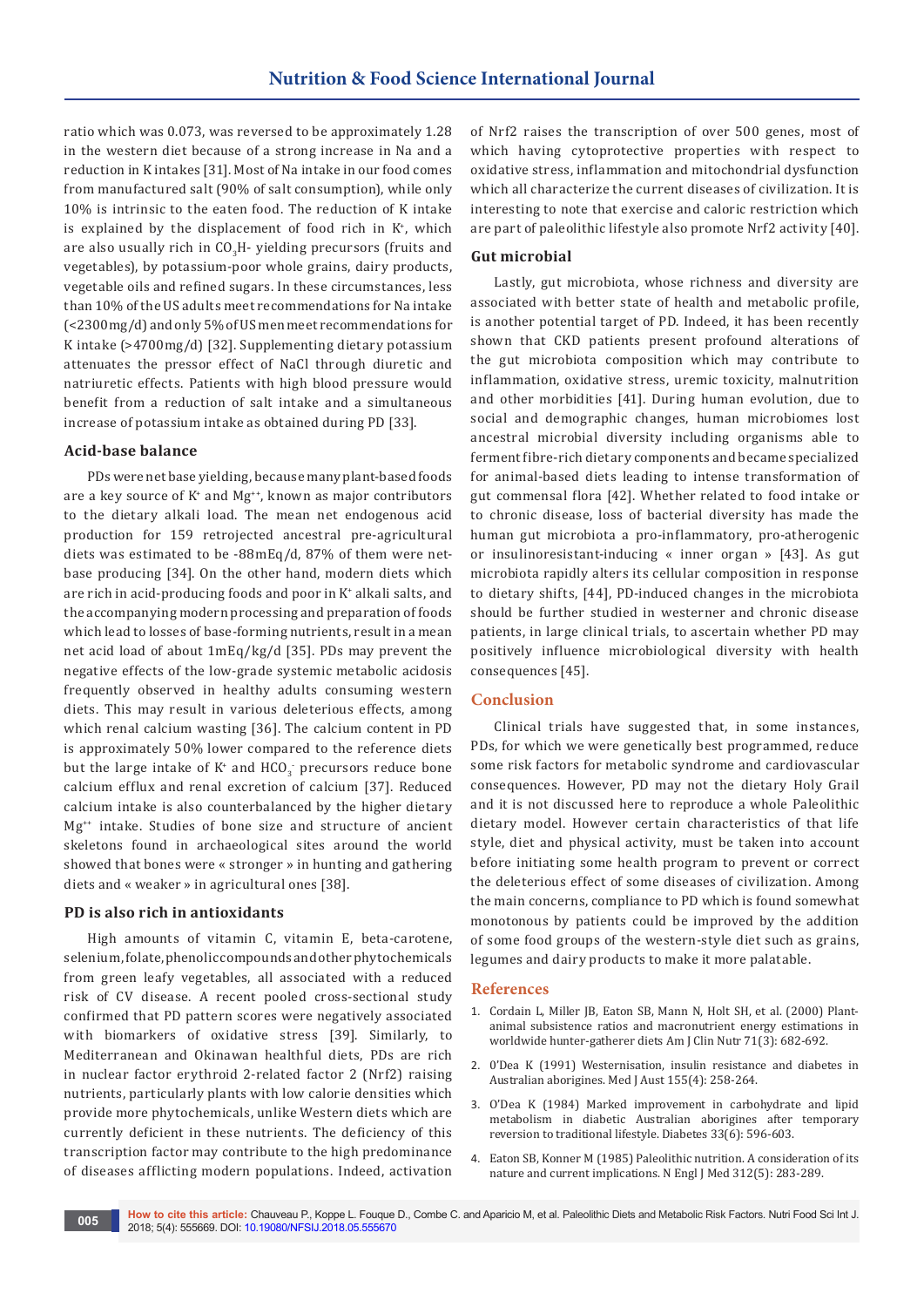ratio which was 0.073, was reversed to be approximately 1.28 in the western diet because of a strong increase in Na and a reduction in K intakes [31]. Most of Na intake in our food comes from manufactured salt (90% of salt consumption), while only 10% is intrinsic to the eaten food. The reduction of K intake is explained by the displacement of food rich in K+ , which are also usually rich in CO<sub>3</sub>H- yielding precursors (fruits and vegetables), by potassium-poor whole grains, dairy products, vegetable oils and refined sugars. In these circumstances, less than 10% of the US adults meet recommendations for Na intake (<2300mg/d) and only 5% of US men meet recommendations for K intake (>4700mg/d) [32]. Supplementing dietary potassium attenuates the pressor effect of NaCl through diuretic and natriuretic effects. Patients with high blood pressure would benefit from a reduction of salt intake and a simultaneous increase of potassium intake as obtained during PD [33].

#### **Acid-base balance**

PDs were net base yielding, because many plant-based foods are a key source of K+ and Mg++, known as major contributors to the dietary alkali load. The mean net endogenous acid production for 159 retrojected ancestral pre-agricultural diets was estimated to be -88mEq/d, 87% of them were netbase producing [34]. On the other hand, modern diets which are rich in acid-producing foods and poor in K+ alkali salts, and the accompanying modern processing and preparation of foods which lead to losses of base-forming nutrients, result in a mean net acid load of about 1mEq/kg/d [35]. PDs may prevent the negative effects of the low-grade systemic metabolic acidosis frequently observed in healthy adults consuming western diets. This may result in various deleterious effects, among which renal calcium wasting [36]. The calcium content in PD is approximately 50% lower compared to the reference diets but the large intake of  $K^*$  and  $HCO_3^-$  precursors reduce bone calcium efflux and renal excretion of calcium [37]. Reduced calcium intake is also counterbalanced by the higher dietary Mg++ intake. Studies of bone size and structure of ancient skeletons found in archaeological sites around the world showed that bones were « stronger » in hunting and gathering diets and « weaker » in agricultural ones [38].

#### **PD is also rich in antioxidants**

High amounts of vitamin C, vitamin E, beta-carotene, selenium, folate, phenolic compounds and other phytochemicals from green leafy vegetables, all associated with a reduced risk of CV disease. A recent pooled cross-sectional study confirmed that PD pattern scores were negatively associated with biomarkers of oxidative stress [39]. Similarly, to Mediterranean and Okinawan healthful diets, PDs are rich in nuclear factor erythroid 2-related factor 2 (Nrf2) raising nutrients, particularly plants with low calorie densities which provide more phytochemicals, unlike Western diets which are currently deficient in these nutrients. The deficiency of this transcription factor may contribute to the high predominance of diseases afflicting modern populations. Indeed, activation

of Nrf2 raises the transcription of over 500 genes, most of which having cytoprotective properties with respect to oxidative stress, inflammation and mitochondrial dysfunction which all characterize the current diseases of civilization. It is interesting to note that exercise and caloric restriction which are part of paleolithic lifestyle also promote Nrf2 activity [40].

#### **Gut microbial**

Lastly, gut microbiota, whose richness and diversity are associated with better state of health and metabolic profile, is another potential target of PD. Indeed, it has been recently shown that CKD patients present profound alterations of the gut microbiota composition which may contribute to inflammation, oxidative stress, uremic toxicity, malnutrition and other morbidities [41]. During human evolution, due to social and demographic changes, human microbiomes lost ancestral microbial diversity including organisms able to ferment fibre-rich dietary components and became specialized for animal-based diets leading to intense transformation of gut commensal flora [42]. Whether related to food intake or to chronic disease, loss of bacterial diversity has made the human gut microbiota a pro-inflammatory, pro-atherogenic or insulinoresistant-inducing « inner organ » [43]. As gut microbiota rapidly alters its cellular composition in response to dietary shifts, [44], PD-induced changes in the microbiota should be further studied in westerner and chronic disease patients, in large clinical trials, to ascertain whether PD may positively influence microbiological diversity with health consequences [45].

#### **Conclusion**

Clinical trials have suggested that, in some instances, PDs, for which we were genetically best programmed, reduce some risk factors for metabolic syndrome and cardiovascular consequences. However, PD may not the dietary Holy Grail and it is not discussed here to reproduce a whole Paleolithic dietary model. However certain characteristics of that life style, diet and physical activity, must be taken into account before initiating some health program to prevent or correct the deleterious effect of some diseases of civilization. Among the main concerns, compliance to PD which is found somewhat monotonous by patients could be improved by the addition of some food groups of the western-style diet such as grains, legumes and dairy products to make it more palatable.

#### **References**

- 1. [Cordain L, Miller JB, Eaton SB, Mann N, Holt SH, et al. \(2000\) Plant](https://www.ncbi.nlm.nih.gov/pubmed/10702160)[animal subsistence ratios and macronutrient energy estimations in](https://www.ncbi.nlm.nih.gov/pubmed/10702160)  [worldwide hunter-gatherer diets Am J Clin Nutr 71\(3\): 682-692.](https://www.ncbi.nlm.nih.gov/pubmed/10702160)
- 2. [0'Dea K \(1991\) Westernisation, insulin resistance and diabetes in](https://www.ncbi.nlm.nih.gov/pubmed/1875844)  [Australian aborigines. Med J Aust 155\(4\): 258-264.](https://www.ncbi.nlm.nih.gov/pubmed/1875844)
- 3. [O'Dea K \(1984\) Marked improvement in carbohydrate and lipid](https://www.ncbi.nlm.nih.gov/pubmed/6373464)  [metabolism in diabetic Australian aborigines after temporary](https://www.ncbi.nlm.nih.gov/pubmed/6373464)  [reversion to traditional lifestyle. Diabetes 33\(6\): 596-603.](https://www.ncbi.nlm.nih.gov/pubmed/6373464)
- 4. [Eaton SB, Konner M \(1985\) Paleolithic nutrition. A consideration of its](https://www.ncbi.nlm.nih.gov/pubmed/2981409)  [nature and current implications. N Engl J Med 312\(5\): 283-289.](https://www.ncbi.nlm.nih.gov/pubmed/2981409)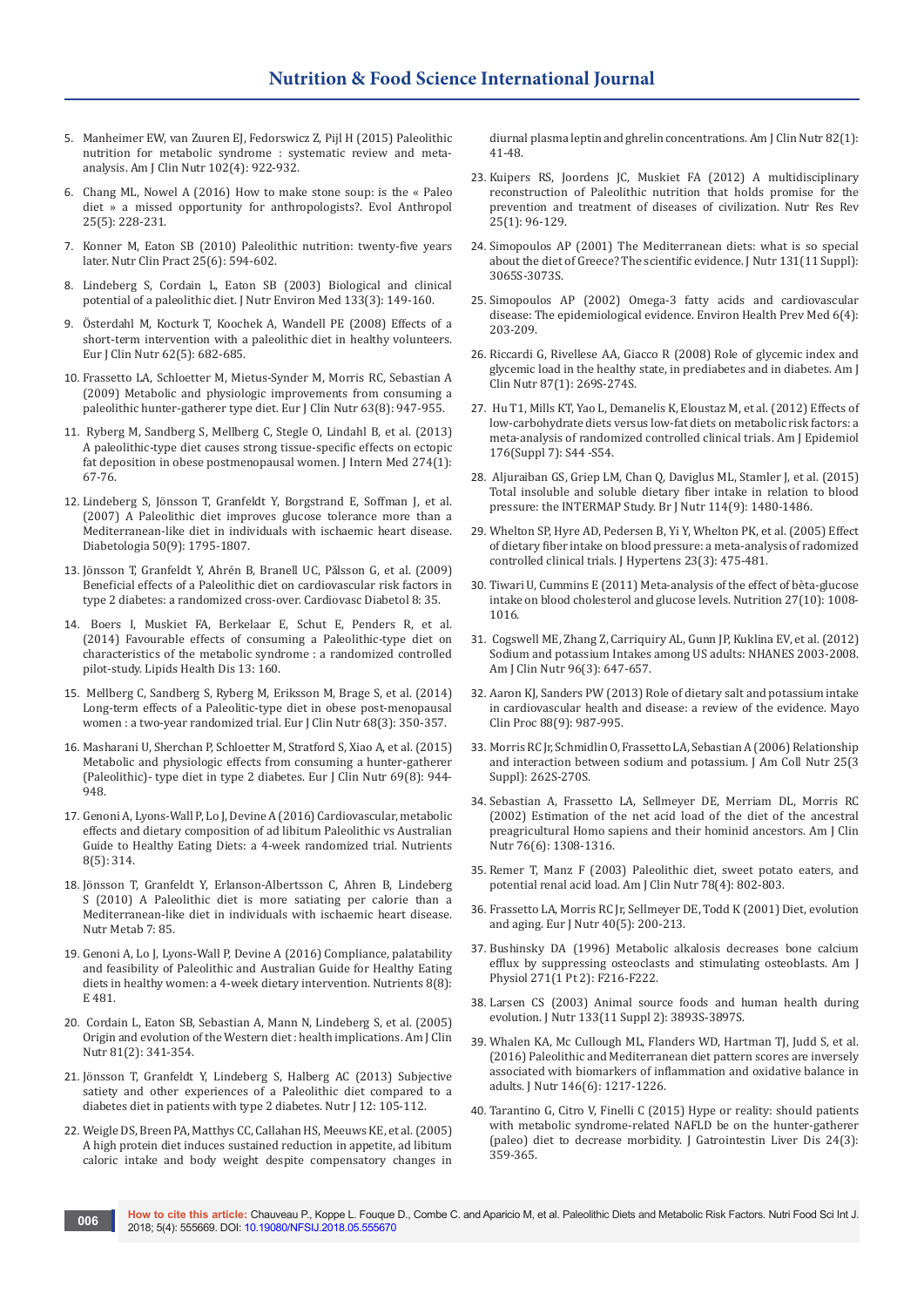- 5. [Manheimer EW, van Zuuren EJ, Fedorswicz Z, Pijl H \(2015\) Paleolithic](https://www.ncbi.nlm.nih.gov/pubmed/26269362/)  [nutrition for metabolic syndrome](https://www.ncbi.nlm.nih.gov/pubmed/26269362/) : systematic review and meta[analysis. Am J Clin Nutr 102\(4\): 922-932.](https://www.ncbi.nlm.nih.gov/pubmed/26269362/)
- 6. [Chang ML, Nowel A \(2016\) How to make stone soup: is the «](https://www.ncbi.nlm.nih.gov/pubmed/27753214) Paleo diet [» a missed opportunity for anthropologists?. Evol Anthropol](https://www.ncbi.nlm.nih.gov/pubmed/27753214)  [25\(5\): 228-231.](https://www.ncbi.nlm.nih.gov/pubmed/27753214)
- 7. [Konner M, Eaton SB \(2010\) Paleolithic nutrition: twenty-five years](https://www.ncbi.nlm.nih.gov/pubmed/21139123)  [later. Nutr Clin Pract 25\(6\): 594-602.](https://www.ncbi.nlm.nih.gov/pubmed/21139123)
- 8. [Lindeberg S, Cordain L, Eaton SB \(2003\) Biological and clinical](http://www.visioninstitute.optometry.net/UserFiles/users/499/File/WebDoc9Lindberg.pdf)  [potential of a paleolithic diet. J Nutr Environ Med 133\(3\): 149-160.](http://www.visioninstitute.optometry.net/UserFiles/users/499/File/WebDoc9Lindberg.pdf)
- 9. [Österdahl M, Kocturk T, Koochek A, Wandell PE \(2008\) Effects of a](https://www.ncbi.nlm.nih.gov/pubmed/17522610)  [short-term intervention with a paleolithic diet in healthy volunteers.](https://www.ncbi.nlm.nih.gov/pubmed/17522610)  [Eur J Clin Nutr 62\(5\): 682-685.](https://www.ncbi.nlm.nih.gov/pubmed/17522610)
- 10. [Frassetto LA, Schloetter M, Mietus-Synder M, Morris RC, Sebastian A](https://www.ncbi.nlm.nih.gov/pubmed/19209185)  [\(2009\) Metabolic and physiologic improvements from consuming a](https://www.ncbi.nlm.nih.gov/pubmed/19209185)  [paleolithic hunter-gatherer type diet. Eur J Clin Nutr 63\(8\): 947-955.](https://www.ncbi.nlm.nih.gov/pubmed/19209185)
- 11. [Ryberg M, Sandberg S, Mellberg C, Stegle O, Lindahl B, et al. \(2013\)](https://www.ncbi.nlm.nih.gov/pubmed/23414424)  [A paleolithic-type diet causes strong tissue-specific effects on ectopic](https://www.ncbi.nlm.nih.gov/pubmed/23414424)  [fat deposition in obese postmenopausal women. J Intern Med 274\(1\):](https://www.ncbi.nlm.nih.gov/pubmed/23414424)  [67-76.](https://www.ncbi.nlm.nih.gov/pubmed/23414424)
- 12. [Lindeberg S, Jönsson T, Granfeldt Y, Borgstrand E, Soffman J, et al.](https://www.ncbi.nlm.nih.gov/pubmed/17583796)  [\(2007\) A Paleolithic diet improves glucose tolerance more than a](https://www.ncbi.nlm.nih.gov/pubmed/17583796)  [Mediterranean-like diet in individuals with ischaemic heart disease.](https://www.ncbi.nlm.nih.gov/pubmed/17583796)  [Diabetologia 50\(9\): 1795-1807.](https://www.ncbi.nlm.nih.gov/pubmed/17583796)
- 13. [Jönsson T, Granfeldt Y, Ahrén B, Branell UC, Pålsson G, et al. \(2009\)](https://www.ncbi.nlm.nih.gov/pubmed/19604407)  [Beneficial effects of a Paleolithic diet on cardiovascular risk factors in](https://www.ncbi.nlm.nih.gov/pubmed/19604407)  [type 2 diabetes: a randomized cross-over. Cardiovasc Diabetol 8: 35.](https://www.ncbi.nlm.nih.gov/pubmed/19604407)
- 14. [Boers I, Muskiet FA, Berkelaar E, Schut E, Penders R, et al.](https://www.ncbi.nlm.nih.gov/pubmed/25304296)  [\(2014\) Favourable effects of consuming a Paleolithic-type diet on](https://www.ncbi.nlm.nih.gov/pubmed/25304296)  [characteristics of the metabolic syndrome](https://www.ncbi.nlm.nih.gov/pubmed/25304296) : a randomized controlled [pilot-study. Lipids Health Dis 13: 160.](https://www.ncbi.nlm.nih.gov/pubmed/25304296)
- 15. [Mellberg C, Sandberg S, Ryberg M, Eriksson M, Brage S, et al. \(2014\)](https://www.ncbi.nlm.nih.gov/pubmed/24473459)  [Long-term effects of a Paleolitic-type diet in obese post-menopausal](https://www.ncbi.nlm.nih.gov/pubmed/24473459)  women [: a two-year randomized trial. Eur J Clin Nutr 68\(3\): 350-357.](https://www.ncbi.nlm.nih.gov/pubmed/24473459)
- 16. [Masharani U, Sherchan P, Schloetter M, Stratford S, Xiao A, et al. \(2015\)](https://www.ncbi.nlm.nih.gov/pubmed/25828624)  [Metabolic and physiologic effects from consuming a hunter-gatherer](https://www.ncbi.nlm.nih.gov/pubmed/25828624)  [\(Paleolithic\)- type diet in type 2 diabetes. Eur J Clin Nutr 69\(8\): 944-](https://www.ncbi.nlm.nih.gov/pubmed/25828624) [948.](https://www.ncbi.nlm.nih.gov/pubmed/25828624)
- 17. [Genoni A, Lyons-Wall P, Lo J, Devine A \(2016\) Cardiovascular, metabolic](https://www.ncbi.nlm.nih.gov/pubmed/27223304)  [effects and dietary composition of ad libitum Paleolithic vs Australian](https://www.ncbi.nlm.nih.gov/pubmed/27223304)  [Guide to Healthy Eating Diets: a 4-week randomized trial. Nutrients](https://www.ncbi.nlm.nih.gov/pubmed/27223304)  [8\(5\): 314.](https://www.ncbi.nlm.nih.gov/pubmed/27223304)
- 18. [Jönsson T, Granfeldt Y, Erlanson-Albertsson C, Ahren B, Lindeberg](https://www.ncbi.nlm.nih.gov/pubmed/21118562)  [S \(2010\) A Paleolithic diet is more satiating per calorie than a](https://www.ncbi.nlm.nih.gov/pubmed/21118562)  [Mediterranean-like diet in individuals with ischaemic heart disease.](https://www.ncbi.nlm.nih.gov/pubmed/21118562)  [Nutr Metab 7: 85.](https://www.ncbi.nlm.nih.gov/pubmed/21118562)
- 19. [Genoni A, Lo J, Lyons-Wall P, Devine A \(2016\) Compliance, palatability](https://www.ncbi.nlm.nih.gov/pubmed/27509519)  [and feasibility of Paleolithic and Australian Guide for Healthy Eating](https://www.ncbi.nlm.nih.gov/pubmed/27509519)  [diets in healthy women: a 4-week dietary intervention. Nutrients 8\(8\):](https://www.ncbi.nlm.nih.gov/pubmed/27509519)  [E 481.](https://www.ncbi.nlm.nih.gov/pubmed/27509519)
- 20. [Cordain L, Eaton SB, Sebastian A, Mann N, Lindeberg S, et al. \(2005\)](https://www.ncbi.nlm.nih.gov/pubmed/15699220)  [Origin and evolution of the Western diet](https://www.ncbi.nlm.nih.gov/pubmed/15699220) : health implications. Am J Clin [Nutr 81\(2\): 341-354.](https://www.ncbi.nlm.nih.gov/pubmed/15699220)
- 21. [Jönsson T, Granfeldt Y, Lindeberg S, Halberg AC \(2013\) Subjective](https://www.ncbi.nlm.nih.gov/pubmed/23890471)  [satiety and other experiences of a Paleolithic diet compared to a](https://www.ncbi.nlm.nih.gov/pubmed/23890471)  [diabetes diet in patients with type 2 diabetes. Nutr J 12: 105-112.](https://www.ncbi.nlm.nih.gov/pubmed/23890471)
- 22. [Weigle DS, Breen PA, Matthys CC, Callahan HS, Meeuws KE, et al. \(2005\)](https://www.ncbi.nlm.nih.gov/pubmed/16002798)  [A high protein diet induces sustained reduction in appetite, ad libitum](https://www.ncbi.nlm.nih.gov/pubmed/16002798)  [caloric intake and body weight despite compensatory changes in](https://www.ncbi.nlm.nih.gov/pubmed/16002798)

[diurnal plasma leptin and ghrelin concentrations. Am J Clin Nutr 82\(1\):](https://www.ncbi.nlm.nih.gov/pubmed/16002798)  [41-48.](https://www.ncbi.nlm.nih.gov/pubmed/16002798)

- 23. [Kuipers RS, Joordens JC, Muskiet FA \(2012\) A multidisciplinary](https://www.ncbi.nlm.nih.gov/pubmed/22894943)  [reconstruction of Paleolithic nutrition that holds promise for the](https://www.ncbi.nlm.nih.gov/pubmed/22894943)  [prevention and treatment of diseases of civilization. Nutr Res Rev](https://www.ncbi.nlm.nih.gov/pubmed/22894943)  [25\(1\): 96-129.](https://www.ncbi.nlm.nih.gov/pubmed/22894943)
- 24. [Simopoulos AP \(2001\) The Mediterranean diets: what is so special](https://www.ncbi.nlm.nih.gov/pubmed/11694649)  [about the diet of Greece? The scientific evidence. J Nutr 131\(11 Suppl\):](https://www.ncbi.nlm.nih.gov/pubmed/11694649)  [3065S-3073S.](https://www.ncbi.nlm.nih.gov/pubmed/11694649)
- 25. [Simopoulos AP \(2002\) Omega-3 fatty acids and cardiovascular](https://www.ncbi.nlm.nih.gov/pubmed/21432336/)  [disease: The epidemiological evidence. Environ Health Prev Med 6\(4\):](https://www.ncbi.nlm.nih.gov/pubmed/21432336/)  [203-209.](https://www.ncbi.nlm.nih.gov/pubmed/21432336/)
- 26. [Riccardi G, Rivellese AA, Giacco R \(2008\) Role of glycemic index and](https://www.ncbi.nlm.nih.gov/pubmed/18175767)  [glycemic load in the healthy state, in prediabetes and in diabetes. Am J](https://www.ncbi.nlm.nih.gov/pubmed/18175767)  [Clin Nutr 87\(1\): 269S-274S.](https://www.ncbi.nlm.nih.gov/pubmed/18175767)
- 27. [Hu T1, Mills KT, Yao L, Demanelis K, Eloustaz M, et al. \(2012\) Effects of](https://www.ncbi.nlm.nih.gov/pubmed/23035144/)  [low-carbohydrate diets versus low-fat diets on metabolic risk factors: a](https://www.ncbi.nlm.nih.gov/pubmed/23035144/)  [meta-analysis of randomized controlled clinical trials. Am J Epidemiol](https://www.ncbi.nlm.nih.gov/pubmed/23035144/)  [176\(Suppl 7\): S44 -S54.](https://www.ncbi.nlm.nih.gov/pubmed/23035144/)
- 28. [Aljuraiban GS, Griep LM, Chan Q, Daviglus ML, Stamler J, et al. \(2015\)](https://www.ncbi.nlm.nih.gov/pubmed/26328746)  [Total insoluble and soluble dietary fiber intake in relation to blood](https://www.ncbi.nlm.nih.gov/pubmed/26328746)  [pressure: the INTERMAP Study. Br J Nutr 114\(9\): 1480-1486.](https://www.ncbi.nlm.nih.gov/pubmed/26328746)
- 29. [Whelton SP, Hyre AD, Pedersen B, Yi Y, Whelton PK, et al. \(2005\) Effect](https://www.ncbi.nlm.nih.gov/pubmed/15716684)  [of dietary fiber intake on blood pressure: a meta-analysis of radomized](https://www.ncbi.nlm.nih.gov/pubmed/15716684)  [controlled clinical trials. J Hypertens 23\(3\): 475-481.](https://www.ncbi.nlm.nih.gov/pubmed/15716684)
- 30. [Tiwari U, Cummins E \(2011\) Meta-analysis of the effect of bèta-glucose](https://www.ncbi.nlm.nih.gov/pubmed/21470820)  [intake on blood cholesterol and glucose levels. Nutrition 27\(10\): 1008-](https://www.ncbi.nlm.nih.gov/pubmed/21470820) [1016.](https://www.ncbi.nlm.nih.gov/pubmed/21470820)
- 31. [Cogswell ME, Zhang Z, Carriquiry AL, Gunn JP, Kuklina EV, et al. \(2012\)](https://www.ncbi.nlm.nih.gov/pubmed/22854410)  [Sodium and potassium Intakes among US adults: NHANES 2003-2008.](https://www.ncbi.nlm.nih.gov/pubmed/22854410)  [Am J Clin Nutr 96\(3\): 647-657.](https://www.ncbi.nlm.nih.gov/pubmed/22854410)
- 32. [Aaron KJ, Sanders PW \(2013\) Role of dietary salt and potassium intake](https://www.ncbi.nlm.nih.gov/pubmed/24001491)  [in cardiovascular health and disease: a review of the evidence. Mayo](https://www.ncbi.nlm.nih.gov/pubmed/24001491)  [Clin Proc 88\(9\): 987-995.](https://www.ncbi.nlm.nih.gov/pubmed/24001491)
- 33. [Morris RC Jr, Schmidlin O, Frassetto LA, Sebastian A \(2006\) Relationship](https://www.ncbi.nlm.nih.gov/pubmed/16772638)  [and interaction between sodium and potassium. J Am Coll Nutr 25\(3](https://www.ncbi.nlm.nih.gov/pubmed/16772638)  [Suppl\): 262S-270S.](https://www.ncbi.nlm.nih.gov/pubmed/16772638)
- 34. [Sebastian A, Frassetto LA, Sellmeyer DE, Merriam DL, Morris RC](https://www.ncbi.nlm.nih.gov/pubmed/12450898)  [\(2002\) Estimation of the net acid load of the diet of the ancestral](https://www.ncbi.nlm.nih.gov/pubmed/12450898)  [preagricultural Homo sapiens and their hominid ancestors. Am J Clin](https://www.ncbi.nlm.nih.gov/pubmed/12450898)  [Nutr 76\(6\): 1308-1316.](https://www.ncbi.nlm.nih.gov/pubmed/12450898)
- 35. [Remer T, Manz F \(2003\) Paleolithic diet, sweet potato eaters, and](https://www.ncbi.nlm.nih.gov/pubmed/14522740)  [potential renal acid load. Am J Clin Nutr 78\(4\): 802-803.](https://www.ncbi.nlm.nih.gov/pubmed/14522740)
- 36. [Frassetto LA, Morris RC Jr, Sellmeyer DE, Todd K](https://www.ncbi.nlm.nih.gov/pubmed/11842945) (2001) Diet, evolution [and aging. Eur J Nutr 40\(5\): 200-213.](https://www.ncbi.nlm.nih.gov/pubmed/11842945)
- 37. [Bushinsky DA \(1996\) Metabolic alkalosis decreases bone calcium](https://www.ncbi.nlm.nih.gov/pubmed/8760264)  [efflux by suppressing osteoclasts and stimulating osteoblasts. Am J](https://www.ncbi.nlm.nih.gov/pubmed/8760264)  [Physiol 271\(1 Pt 2\): F216-F222.](https://www.ncbi.nlm.nih.gov/pubmed/8760264)
- 38. [Larsen CS \(2003\) Animal source foods and human health during](https://www.ncbi.nlm.nih.gov/pubmed/14672287)  [evolution. J Nutr 133\(11 Suppl 2\): 3893S-3897S.](https://www.ncbi.nlm.nih.gov/pubmed/14672287)
- 39. [Whalen KA, Mc Cullough ML, Flanders WD, Hartman TJ, Judd S, et al.](https://www.ncbi.nlm.nih.gov/pubmed/27099230)  [\(2016\) Paleolithic and Mediterranean diet pattern scores are inversely](https://www.ncbi.nlm.nih.gov/pubmed/27099230)  [associated with biomarkers of inflammation and oxidative balance in](https://www.ncbi.nlm.nih.gov/pubmed/27099230)  [adults. J Nutr 146\(6\): 1217-1226.](https://www.ncbi.nlm.nih.gov/pubmed/27099230)
- 40. [Tarantino G, Citro V, Finelli C \(2015\) Hype or reality: should patients](https://www.ncbi.nlm.nih.gov/pubmed/26405708)  [with metabolic syndrome-related NAFLD be on the hunter-gatherer](https://www.ncbi.nlm.nih.gov/pubmed/26405708)  [\(paleo\) diet to decrease morbidity. J Gatrointestin Liver Dis 24\(3\):](https://www.ncbi.nlm.nih.gov/pubmed/26405708)  [359-365.](https://www.ncbi.nlm.nih.gov/pubmed/26405708)